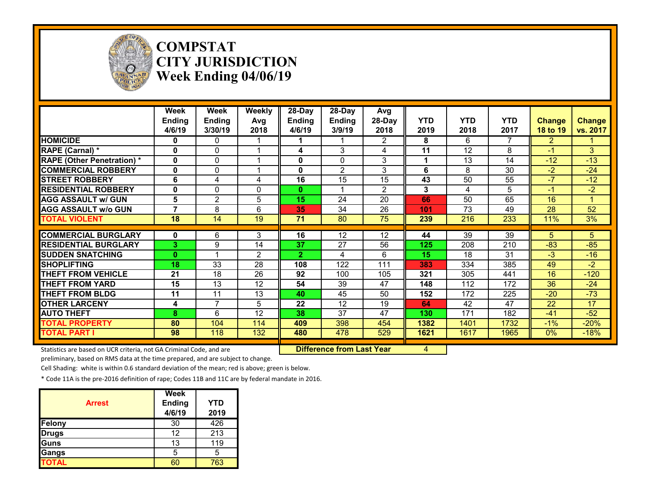

#### **COMPSTAT CITY JURISDICTION Week Ending 04/06/19**

|                                                                     | Week<br><b>Ending</b><br>4/6/19 | Week<br>Ending<br>3/30/19 | Weekly<br>Avg<br>2018 | 28-Day<br><b>Ending</b><br>4/6/19 | 28-Day<br>Ending<br>3/9/19       | Avg<br>28-Day<br>2018 | <b>YTD</b><br>2019 | <b>YTD</b><br>2018 | <b>YTD</b><br>2017 | <b>Change</b><br>18 to 19 | <b>Change</b><br>vs. 2017 |
|---------------------------------------------------------------------|---------------------------------|---------------------------|-----------------------|-----------------------------------|----------------------------------|-----------------------|--------------------|--------------------|--------------------|---------------------------|---------------------------|
| <b>HOMICIDE</b>                                                     | 0                               | 0                         |                       | 1                                 |                                  | $\overline{2}$        | 8                  | 6                  | 7                  | $\overline{2}$            |                           |
| RAPE (Carnal) *                                                     | 0                               | $\mathbf 0$               |                       | 4                                 | 3                                | 4                     | 11                 | 12                 | 8                  | -1                        | 3                         |
| <b>RAPE (Other Penetration)</b> *                                   | 0                               | $\Omega$                  |                       | 0                                 | 0                                | 3                     |                    | 13                 | 14                 | $-12$                     | $-13$                     |
| <b>COMMERCIAL ROBBERY</b>                                           | 0                               | 0                         |                       | 0                                 | $\overline{2}$                   | 3                     | 6                  | 8                  | 30                 | $-2$                      | $-24$                     |
| <b>STREET ROBBERY</b>                                               | 6                               | 4                         | 4                     | 16                                | 15                               | 15                    | 43                 | 50                 | 55                 | $-7$                      | $-12$                     |
| <b>RESIDENTIAL ROBBERY</b>                                          | 0                               | $\mathbf{0}$              | 0                     | 0                                 |                                  | $\overline{2}$        | 3                  | 4                  | 5                  | -1                        | $-2$                      |
| <b>AGG ASSAULT w/ GUN</b>                                           | 5                               | $\overline{2}$            | 5                     | 15                                | 24                               | 20                    | 66                 | 50                 | 65                 | 16                        |                           |
| <b>AGG ASSAULT w/o GUN</b>                                          | 7                               | 8                         | 6                     | 35                                | 34                               | 26                    | 101                | $\overline{73}$    | 49                 | 28                        | $\overline{52}$           |
| <b>TOTAL VIOLENT</b>                                                | $\overline{18}$                 | $\overline{14}$           | $\overline{19}$       | 71                                | 80                               | $\overline{75}$       | 239                | 216                | 233                | 11%                       | 3%                        |
| <b>COMMERCIAL BURGLARY</b>                                          | $\mathbf{0}$                    | 6                         | 3                     | 16                                | 12                               | 12                    | 44                 | $\overline{39}$    | 39                 | 5                         | 5 <sup>1</sup>            |
| <b>RESIDENTIAL BURGLARY</b>                                         | 3.                              | 9                         | 14                    | 37                                | 27                               | 56                    | 125                | 208                | 210                | $-83$                     | $-85$                     |
| <b>SUDDEN SNATCHING</b>                                             | 0                               |                           | 2                     | $\mathbf{2}$                      | 4                                | 6                     | 15                 | 18                 | 31                 | $-3$                      | $-16$                     |
| <b>SHOPLIFTING</b>                                                  | 18                              | 33                        | 28                    | 108                               | 122                              | 111                   | 383                | 334                | 385                | 49                        | $-2$                      |
| <b>THEFT FROM VEHICLE</b>                                           | 21                              | 18                        | 26                    | 92                                | 100                              | 105                   | 321                | 305                | 441                | 16                        | $-120$                    |
| <b>THEFT FROM YARD</b>                                              | 15                              | 13                        | 12                    | 54                                | 39                               | 47                    | 148                | 112                | 172                | 36                        | $-24$                     |
| <b>THEFT FROM BLDG</b>                                              | 11                              | 11                        | 13                    | 40                                | 45                               | 50                    | 152                | 172                | 225                | $-20$                     | $-73$                     |
| <b>OTHER LARCENY</b>                                                | 4                               | $\overline{7}$            | 5                     | 22                                | 12                               | 19                    | 64                 | 42                 | 47                 | 22                        | 17                        |
| <b>AUTO THEFT</b>                                                   | 8                               | 6                         | 12                    | 38                                | 37                               | 47                    | 130                | 171                | 182                | $-41$                     | $-52$                     |
| <b>TOTAL PROPERTY</b>                                               | 80                              | 104                       | 114                   | 409                               | 398                              | 454                   | 1382               | 1401               | 1732               | $-1%$                     | $-20%$                    |
| <b>TOTAL PART I</b>                                                 | 98                              | 118                       | 132                   | 480                               | 478                              | 529                   | 1621               | 1617               | 1965               | 0%                        | $-18%$                    |
| Statistics are based on UCR criteria, not GA Criminal Code, and are |                                 |                           |                       |                                   | <b>Difference from Last Year</b> |                       | 4                  |                    |                    |                           |                           |

preliminary, based on RMS data at the time prepared, and are subject to change.

Cell Shading: white is within 0.6 standard deviation of the mean; red is above; green is below.

| <b>Arrest</b> | Week<br><b>Ending</b><br>4/6/19 | <b>YTD</b><br>2019 |
|---------------|---------------------------------|--------------------|
| Felony        | 30                              | 426                |
| <b>Drugs</b>  | 12                              | 213                |
| Guns          | 13                              | 119                |
| Gangs         | 5                               | 5                  |
| <b>TOTAL</b>  |                                 | 763                |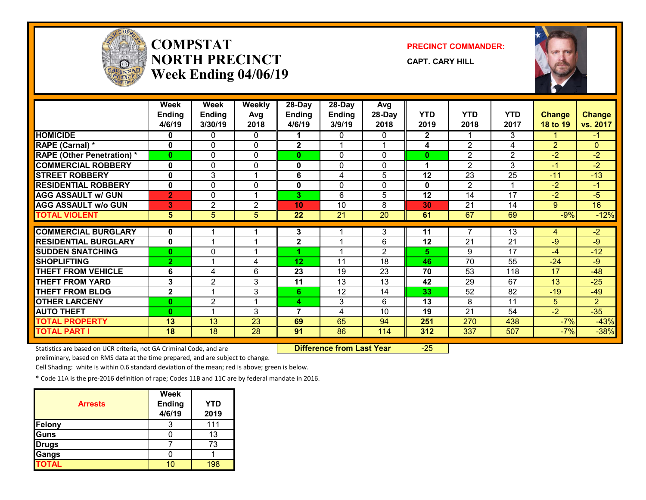

## **COMPSTATNORTH PRECINCTWeek Ending 04/06/19**

**PRECINCT COMMANDER:**

**CAPT. CARY HILL**



|                                   | <b>Week</b><br><b>Ending</b> | Week<br><b>Ending</b>   | <b>Weekly</b><br>Avg | 28-Day<br><b>Ending</b> | 28-Day<br><b>Ending</b> | Avg<br>28-Day  | <b>YTD</b>   | <b>YTD</b>     | <b>YTD</b>     | <b>Change</b>  | <b>Change</b>  |
|-----------------------------------|------------------------------|-------------------------|----------------------|-------------------------|-------------------------|----------------|--------------|----------------|----------------|----------------|----------------|
|                                   | 4/6/19                       | 3/30/19                 | 2018                 | 4/6/19                  | 3/9/19                  | 2018           | 2019         | 2018           | 2017           | 18 to 19       | vs. 2017       |
| <b>HOMICIDE</b>                   | 0                            | 0                       | $\Omega$             | 1.                      | 0                       | 0              | $\mathbf{2}$ |                | 3              |                | -1             |
| RAPE (Carnal) *                   | $\mathbf 0$                  | 0                       | $\mathbf{0}$         | $\mathbf{2}$            |                         |                | 4            | $\overline{2}$ | 4              | $\overline{2}$ | $\overline{0}$ |
| <b>RAPE (Other Penetration) *</b> | $\mathbf{0}$                 | 0                       | $\Omega$             | $\mathbf{0}$            | $\Omega$                | 0              | $\bf{0}$     | $\overline{2}$ | $\overline{2}$ | $-2$           | $-2$           |
| <b>COMMERCIAL ROBBERY</b>         | $\mathbf{0}$                 | 0                       | $\Omega$             | 0                       | $\Omega$                | 0              | 1            | $\overline{2}$ | 3              | $-1$           | $-2$           |
| <b>STREET ROBBERY</b>             | $\mathbf{0}$                 | 3                       |                      | 6                       | 4                       | 5              | 12           | 23             | 25             | $-11$          | $-13$          |
| <b>RESIDENTIAL ROBBERY</b>        | $\mathbf{0}$                 | 0                       | $\Omega$             | 0                       | $\Omega$                | $\Omega$       | $\mathbf{0}$ | $\overline{2}$ | -1             | $-2$           | -1             |
| <b>AGG ASSAULT w/ GUN</b>         | $\overline{2}$               | 0                       |                      | 3                       | 6                       | 5              | 12           | 14             | 17             | $-2$           | $-5$           |
| <b>AGG ASSAULT w/o GUN</b>        | 3                            | 2                       | $\overline{2}$       | 10                      | 10                      | 8              | 30           | 21             | 14             | 9              | 16             |
| <b>TOTAL VIOLENT</b>              | 5 <sup>5</sup>               | 5                       | $\overline{5}$       | 22                      | 21                      | 20             | 61           | 67             | 69             | $-9%$          | $-12%$         |
|                                   |                              |                         |                      |                         |                         |                |              | $\overline{7}$ |                |                |                |
| <b>COMMERCIAL BURGLARY</b>        | $\mathbf{0}$                 |                         |                      | 3                       | 4                       | 3              | 11           |                | 13             | 4              | $-2$           |
| <b>RESIDENTIAL BURGLARY</b>       | $\mathbf{0}$                 |                         | -1                   | $\mathbf{2}$            | ◢                       | 6              | 12           | 21             | 21             | $-9$           | $-9$           |
| <b>SUDDEN SNATCHING</b>           | $\bf{0}$                     | 0                       |                      |                         |                         | $\overline{2}$ | 5            | 9              | 17             | $-4$           | $-12$          |
| <b>SHOPLIFTING</b>                | $\overline{2}$               |                         | 4                    | 12 <sub>2</sub>         | 11                      | 18             | 46           | 70             | 55             | $-24$          | $-9$           |
| <b>THEFT FROM VEHICLE</b>         | 6                            | 4                       | 6                    | 23                      | 19                      | 23             | 70           | 53             | 118            | 17             | $-48$          |
| <b>THEFT FROM YARD</b>            | 3                            | $\overline{2}$          | 3                    | 11                      | 13                      | 13             | 42           | 29             | 67             | 13             | $-25$          |
| <b>THEFT FROM BLDG</b>            | $\mathbf{2}$                 | $\overline{A}$          | 3                    | 6 <sub>1</sub>          | 12                      | 14             | 33           | 52             | 82             | $-19$          | $-49$          |
| <b>OTHER LARCENY</b>              | $\mathbf{0}$                 | $\overline{c}$          |                      | 4                       | 3                       | 6              | 13           | 8              | 11             | 5              | $\overline{2}$ |
| <b>AUTO THEFT</b>                 | $\bf{0}$                     | $\overline{\mathbf{A}}$ | 3                    | $\overline{7}$          | 4                       | 10             | 19           | 21             | 54             | $-2$           | $-35$          |
| <b>TOTAL PROPERTY</b>             | 13                           | 13                      | 23                   | 69                      | 65                      | 94             | 251          | 270            | 438            | $-7%$          | $-43%$         |
| <b>TOTAL PART I</b>               | 18                           | 18                      | 28                   | 91                      | 86                      | 114            | 312          | 337            | 507            | $-7%$          | $-38%$         |

Statistics are based on UCR criteria, not GA Criminal Code, and are **Difference from Last Year** -25

preliminary, based on RMS data at the time prepared, and are subject to change.

Cell Shading: white is within 0.6 standard deviation of the mean; red is above; green is below.

| <b>Arrests</b> | <b>Week</b><br><b>Ending</b><br>4/6/19 | <b>YTD</b><br>2019 |
|----------------|----------------------------------------|--------------------|
| <b>Felony</b>  |                                        | 111                |
| Guns           |                                        | 13                 |
| <b>Drugs</b>   |                                        | 73                 |
| <b>Gangs</b>   |                                        |                    |
| <b>TOTAL</b>   |                                        | 198                |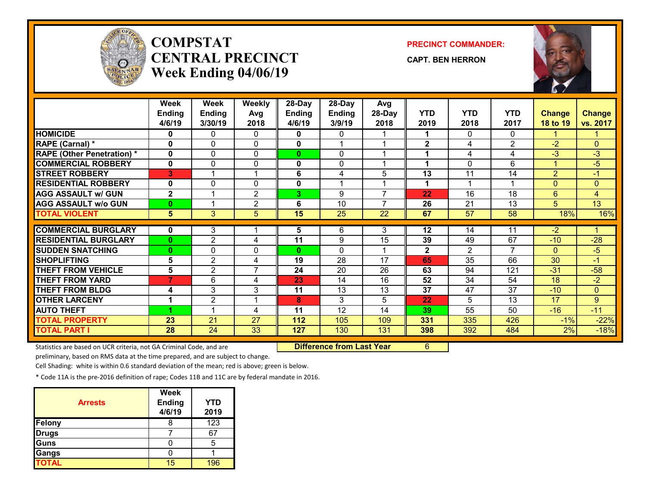

# **COMPSTATCENTRAL PRECINCTWeek Ending 04/06/19**

**PRECINCT COMMANDER:**

**CAPT. BEN HERRON**



|                                   | Week           | Week           | <b>Weekly</b>  | 28-Day        | 28-Day          | Avg             |              |                 |                |                |                |
|-----------------------------------|----------------|----------------|----------------|---------------|-----------------|-----------------|--------------|-----------------|----------------|----------------|----------------|
|                                   | <b>Ending</b>  | <b>Ending</b>  | Avg            | <b>Ending</b> | <b>Ending</b>   | 28-Day          | <b>YTD</b>   | <b>YTD</b>      | <b>YTD</b>     | <b>Change</b>  | <b>Change</b>  |
|                                   | 4/6/19         | 3/30/19        | 2018           | 4/6/19        | 3/9/19          | 2018            | 2019         | 2018            | 2017           | 18 to 19       | vs. 2017       |
| <b>HOMICIDE</b>                   | 0              | 0              | 0              | 0             | 0               |                 |              | 0               | 0              |                |                |
| RAPE (Carnal) *                   | 0              | $\Omega$       | $\Omega$       | 0             |                 |                 | $\mathbf{2}$ | 4               | $\mathbf{2}$   | $-2$           | $\mathbf{0}$   |
| <b>RAPE (Other Penetration) *</b> | 0              | 0              | 0              | 0             | 0               |                 |              | 4               | 4              | $-3$           | $-3$           |
| <b>COMMERCIAL ROBBERY</b>         | $\mathbf{0}$   | 0              | 0              | 0             | $\mathbf{0}$    |                 | 1            | $\Omega$        | 6              | 1              | $-5$           |
| <b>STREET ROBBERY</b>             | 3              |                | 1              | 6             | 4               | 5               | 13           | 11              | 14             | $\overline{2}$ | $-1$           |
| <b>RESIDENTIAL ROBBERY</b>        | 0              | $\mathbf{0}$   | $\mathbf{0}$   | 0             | 4               |                 | 1            |                 |                | $\overline{0}$ | $\mathbf{0}$   |
| <b>AGG ASSAULT w/ GUN</b>         | $\overline{2}$ |                | $\overline{2}$ | 3             | 9               | $\overline{ }$  | 22           | 16              | 18             | 6              | $\overline{4}$ |
| <b>AGG ASSAULT w/o GUN</b>        | $\bf{0}$       |                | $\overline{2}$ | 6             | 10              | $\overline{7}$  | 26           | 21              | 13             | 5 <sup>5</sup> | 13             |
| <b>TOTAL VIOLENT</b>              | 5              | 3              | 5              | 15            | $\overline{25}$ | $\overline{22}$ | 67           | $\overline{57}$ | 58             | 18%            | 16%            |
|                                   |                |                |                |               |                 |                 |              |                 |                |                |                |
| <b>COMMERCIAL BURGLARY</b>        | 0              | 3              |                | 5             | 6               | 3               | 12           | 14              | 11             | $-2$           |                |
| <b>RESIDENTIAL BURGLARY</b>       | $\bf{0}$       | 2              | 4              | 11            | 9               | 15              | 39           | 49              | 67             | $-10$          | $-28$          |
| <b>SUDDEN SNATCHING</b>           | $\bf{0}$       | $\mathbf{0}$   | 0              | $\mathbf{0}$  | 0               |                 | $\mathbf{2}$ | $\overline{2}$  | $\overline{7}$ | $\mathbf{0}$   | $-5$           |
| <b>SHOPLIFTING</b>                | 5              | 2              | 4              | 19            | 28              | 17              | 65           | 35              | 66             | 30             | $-1$           |
| <b>THEFT FROM VEHICLE</b>         | 5              | $\overline{2}$ | $\overline{7}$ | 24            | 20              | 26              | 63           | 94              | 121            | $-31$          | $-58$          |
| <b>THEFT FROM YARD</b>            | 7              | 6              | 4              | 23            | 14              | 16              | 52           | 34              | 54             | 18             | $-2$           |
| <b>THEFT FROM BLDG</b>            | 4              | 3              | 3              | 11            | 13              | 13              | 37           | 47              | 37             | $-10$          | $\mathbf 0$    |
| <b>OTHER LARCENY</b>              | 1              | $\overline{2}$ | 1              | 8             | 3               | 5               | 22           | 5.              | 13             | 17             | 9              |
| <b>AUTO THEFT</b>                 |                |                | 4              | 11            | 12              | 14              | 39           | 55              | 50             | $-16$          | $-11$          |
| <b>TOTAL PROPERTY</b>             | 23             | 21             | 27             | 112           | 105             | 109             | 331          | 335             | 426            | $-1%$          | $-22%$         |
| <b>TOTAL PART I</b>               | 28             | 24             | 33             | 127           | 130             | 131             | 398          | 392             | 484            | 2%             | $-18%$         |

Statistics are based on UCR criteria, not GA Criminal Code, and are **Difference from Last Year** 6

preliminary, based on RMS data at the time prepared, and are subject to change.

Cell Shading: white is within 0.6 standard deviation of the mean; red is above; green is below.

| <b>Arrests</b> | <b>Week</b><br><b>Ending</b><br>4/6/19 | <b>YTD</b><br>2019 |
|----------------|----------------------------------------|--------------------|
| Felony         |                                        | 123                |
| <b>Drugs</b>   |                                        | 67                 |
| Guns           |                                        | 5                  |
| Gangs          |                                        |                    |
| <b>TOTAL</b>   | 15                                     | 196                |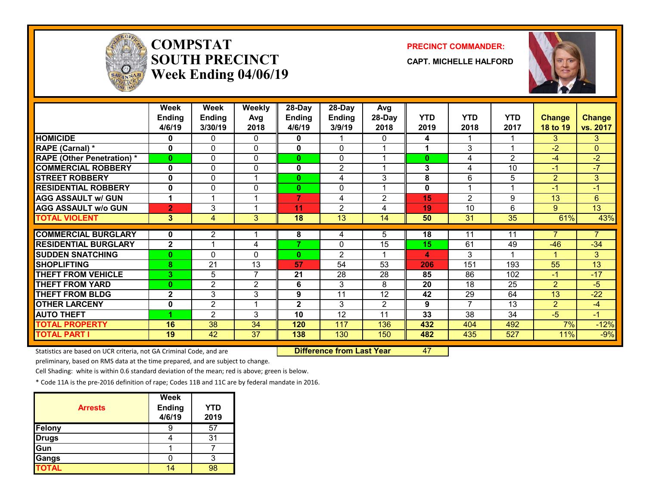

## **COMPSTATSOUTH PRECINCTWeek Ending 04/06/19**

#### **PRECINCT COMMANDER:**

**CAPT. MICHELLE HALFORD**



|                                   | Week<br><b>Ending</b><br>4/6/19 | Week<br><b>Ending</b><br>3/30/19 | Weekly<br>Avg<br>2018 | 28-Day<br><b>Ending</b><br>4/6/19 | 28-Day<br><b>Ending</b><br>3/9/19 | Avg<br>28-Day<br>2018 | <b>YTD</b><br>2019 | <b>YTD</b><br>2018 | <b>YTD</b><br>2017 | <b>Change</b><br>18 to 19 | <b>Change</b><br>vs. 2017 |
|-----------------------------------|---------------------------------|----------------------------------|-----------------------|-----------------------------------|-----------------------------------|-----------------------|--------------------|--------------------|--------------------|---------------------------|---------------------------|
| <b>HOMICIDE</b>                   | 0                               | 0                                | 0                     | 0                                 |                                   | 0                     | 4                  |                    |                    | 3                         | 3                         |
| RAPE (Carnal) *                   | 0                               | 0                                | 0                     | 0                                 | $\Omega$                          |                       | 1                  | 3                  |                    | $-2$                      | $\Omega$                  |
| <b>RAPE (Other Penetration) *</b> | $\bf{0}$                        | 0                                | $\Omega$              | $\mathbf{0}$                      | $\Omega$                          |                       | $\bf{0}$           | 4                  | $\mathcal{P}$      | $-4$                      | $-2$                      |
| <b>COMMERCIAL ROBBERY</b>         | 0                               | 0                                | 0                     | 0                                 | $\overline{2}$                    |                       | 3                  | 4                  | 10                 | $-1$                      | $-7$                      |
| <b>STREET ROBBERY</b>             | 0                               | 0                                | 1                     | $\mathbf{0}$                      | 4                                 | 3                     | 8                  | 6                  | 5                  | $\overline{2}$            | 3                         |
| <b>RESIDENTIAL ROBBERY</b>        | 0                               | 0                                | 0                     | $\mathbf{0}$                      | $\mathbf{0}$                      |                       | 0                  |                    |                    | $-1$                      | $-1$                      |
| <b>AGG ASSAULT W/ GUN</b>         | $\blacktriangleleft$            |                                  | 1                     | 7                                 | 4                                 | $\overline{2}$        | 15                 | $\overline{2}$     | 9                  | 13                        | 6 <sup>°</sup>            |
| <b>AGG ASSAULT w/o GUN</b>        | $\overline{2}$                  | 3                                | 1                     | 11                                | $\overline{2}$                    | 4                     | 19                 | 10                 | 6                  | 9                         | $\overline{13}$           |
| <b>TOTAL VIOLENT</b>              | 3                               | 4                                | 3                     | 18                                | $\overline{13}$                   | 14                    | 50                 | 31                 | $\overline{35}$    | 61%                       | 43%                       |
|                                   |                                 |                                  |                       |                                   |                                   |                       |                    |                    |                    | 7                         |                           |
| <b>COMMERCIAL BURGLARY</b>        | 0                               | $\overline{2}$                   |                       | 8                                 | 4                                 | 5.                    | 18                 | 11                 | 11                 |                           | $\overline{7}$            |
| <b>RESIDENTIAL BURGLARY</b>       | $\overline{2}$                  |                                  | 4                     | 7                                 | $\mathbf{0}$                      | $\overline{15}$       | 15                 | 61                 | 49                 | $-46$                     | $-34$                     |
| <b>SUDDEN SNATCHING</b>           | $\bf{0}$                        | 0                                | $\Omega$              | $\mathbf{0}$                      | $\overline{2}$                    |                       | 4                  | 3                  |                    |                           | 3                         |
| <b>SHOPLIFTING</b>                | 8                               | 21                               | 13                    | 57                                | 54                                | 53                    | 206                | 151                | 193                | 55                        | 13                        |
| <b>THEFT FROM VEHICLE</b>         | 3                               | 5                                | $\overline{7}$        | 21                                | 28                                | 28                    | 85                 | 86                 | 102                | $-1$                      | $-17$                     |
| <b>THEFT FROM YARD</b>            | $\bf{0}$                        | $\overline{2}$                   | 2                     | 6                                 | 3                                 | 8                     | 20                 | 18                 | 25                 | $\overline{2}$            | $-5$                      |
| <b>THEFT FROM BLDG</b>            | $\mathbf{2}$                    | 3                                | 3                     | 9                                 | 11                                | 12                    | 42                 | 29                 | 64                 | 13                        | $-22$                     |
| <b>OTHER LARCENY</b>              | 0                               | $\overline{2}$                   | 1                     | $\mathbf{2}$                      | 3                                 | $\overline{2}$        | 9                  | 7                  | 13                 | $\overline{2}$            | $-4$                      |
| <b>AUTO THEFT</b>                 |                                 | $\overline{2}$                   | 3                     | 10                                | 12                                | 11                    | 33                 | 38                 | 34                 | $-5$                      | $-1$                      |
| <b>TOTAL PROPERTY</b>             | 16                              | 38                               | 34                    | 120                               | 117                               | 136                   | 432                | 404                | 492                | 7%                        | $-12%$                    |
| <b>TOTAL PART I</b>               | 19                              | 42                               | 37                    | 138                               | 130                               | 150                   | 482                | 435                | 527                | 11%                       | $-9%$                     |

Statistics are based on UCR criteria, not GA Criminal Code, and are **Difference from Last Year** 47

preliminary, based on RMS data at the time prepared, and are subject to change.

Cell Shading: white is within 0.6 standard deviation of the mean; red is above; green is below.

| <b>Arrests</b> | <b>Week</b><br><b>Ending</b><br>4/6/19 | <b>YTD</b><br>2019 |
|----------------|----------------------------------------|--------------------|
| Felony         |                                        | 57                 |
| <b>Drugs</b>   |                                        | 31                 |
| Gun            |                                        |                    |
| Gangs          |                                        |                    |
| <b>TOTAL</b>   |                                        |                    |